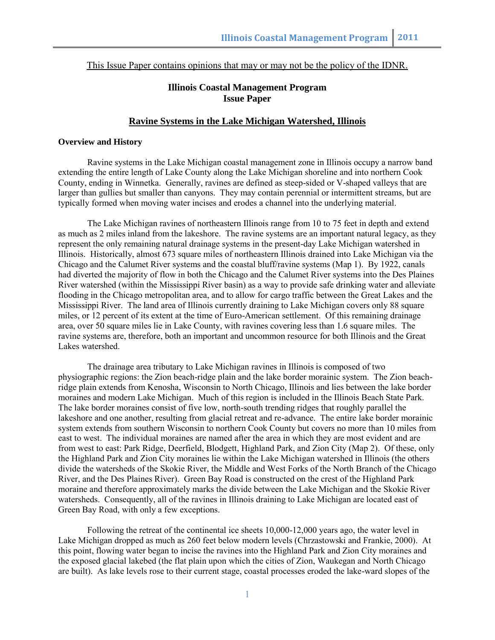This Issue Paper contains opinions that may or may not be the policy of the IDNR.

# **Illinois Coastal Management Program Issue Paper**

# **Ravine Systems in the Lake Michigan Watershed, Illinois**

# **Overview and History**

Ravine systems in the Lake Michigan coastal management zone in Illinois occupy a narrow band extending the entire length of Lake County along the Lake Michigan shoreline and into northern Cook County, ending in Winnetka. Generally, ravines are defined as steep-sided or V-shaped valleys that are larger than gullies but smaller than canyons. They may contain perennial or intermittent streams, but are typically formed when moving water incises and erodes a channel into the underlying material.

The Lake Michigan ravines of northeastern Illinois range from 10 to 75 feet in depth and extend as much as 2 miles inland from the lakeshore. The ravine systems are an important natural legacy, as they represent the only remaining natural drainage systems in the present-day Lake Michigan watershed in Illinois. Historically, almost 673 square miles of northeastern Illinois drained into Lake Michigan via the Chicago and the Calumet River systems and the coastal bluff/ravine systems (Map 1). By 1922, canals had diverted the majority of flow in both the Chicago and the Calumet River systems into the Des Plaines River watershed (within the Mississippi River basin) as a way to provide safe drinking water and alleviate flooding in the Chicago metropolitan area, and to allow for cargo traffic between the Great Lakes and the Mississippi River. The land area of Illinois currently draining to Lake Michigan covers only 88 square miles, or 12 percent of its extent at the time of Euro-American settlement. Of this remaining drainage area, over 50 square miles lie in Lake County, with ravines covering less than 1.6 square miles. The ravine systems are, therefore, both an important and uncommon resource for both Illinois and the Great Lakes watershed.

The drainage area tributary to Lake Michigan ravines in Illinois is composed of two physiographic regions: the Zion beach-ridge plain and the lake border morainic system. The Zion beachridge plain extends from Kenosha, Wisconsin to North Chicago, Illinois and lies between the lake border moraines and modern Lake Michigan. Much of this region is included in the Illinois Beach State Park. The lake border moraines consist of five low, north-south trending ridges that roughly parallel the lakeshore and one another, resulting from glacial retreat and re-advance. The entire lake border morainic system extends from southern Wisconsin to northern Cook County but covers no more than 10 miles from east to west. The individual moraines are named after the area in which they are most evident and are from west to east: Park Ridge, Deerfield, Blodgett, Highland Park, and Zion City (Map 2). Of these, only the Highland Park and Zion City moraines lie within the Lake Michigan watershed in Illinois (the others divide the watersheds of the Skokie River, the Middle and West Forks of the North Branch of the Chicago River, and the Des Plaines River). Green Bay Road is constructed on the crest of the Highland Park moraine and therefore approximately marks the divide between the Lake Michigan and the Skokie River watersheds. Consequently, all of the ravines in Illinois draining to Lake Michigan are located east of Green Bay Road, with only a few exceptions.

Following the retreat of the continental ice sheets 10,000-12,000 years ago, the water level in Lake Michigan dropped as much as 260 feet below modern levels (Chrzastowski and Frankie, 2000). At this point, flowing water began to incise the ravines into the Highland Park and Zion City moraines and the exposed glacial lakebed (the flat plain upon which the cities of Zion, Waukegan and North Chicago are built). As lake levels rose to their current stage, coastal processes eroded the lake-ward slopes of the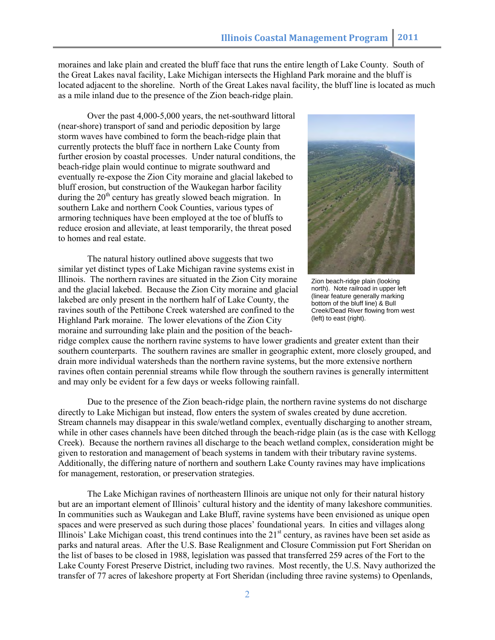moraines and lake plain and created the bluff face that runs the entire length of Lake County. South of the Great Lakes naval facility, Lake Michigan intersects the Highland Park moraine and the bluff is located adjacent to the shoreline. North of the Great Lakes naval facility, the bluff line is located as much as a mile inland due to the presence of the Zion beach-ridge plain.

Over the past 4,000-5,000 years, the net-southward littoral (near-shore) transport of sand and periodic deposition by large storm waves have combined to form the beach-ridge plain that currently protects the bluff face in northern Lake County from further erosion by coastal processes. Under natural conditions, the beach-ridge plain would continue to migrate southward and eventually re-expose the Zion City moraine and glacial lakebed to bluff erosion, but construction of the Waukegan harbor facility during the  $20<sup>th</sup>$  century has greatly slowed beach migration. In southern Lake and northern Cook Counties, various types of armoring techniques have been employed at the toe of bluffs to reduce erosion and alleviate, at least temporarily, the threat posed to homes and real estate.

The natural history outlined above suggests that two similar yet distinct types of Lake Michigan ravine systems exist in Illinois. The northern ravines are situated in the Zion City moraine and the glacial lakebed. Because the Zion City moraine and glacial lakebed are only present in the northern half of Lake County, the ravines south of the Pettibone Creek watershed are confined to the Highland Park moraine. The lower elevations of the Zion City moraine and surrounding lake plain and the position of the beach-



Zion beach-ridge plain (looking north). Note railroad in upper left (linear feature generally marking bottom of the bluff line) & Bull Creek/Dead River flowing from west (left) to east (right).

ridge complex cause the northern ravine systems to have lower gradients and greater extent than their southern counterparts. The southern ravines are smaller in geographic extent, more closely grouped, and drain more individual watersheds than the northern ravine systems, but the more extensive northern ravines often contain perennial streams while flow through the southern ravines is generally intermittent and may only be evident for a few days or weeks following rainfall.

Due to the presence of the Zion beach-ridge plain, the northern ravine systems do not discharge directly to Lake Michigan but instead, flow enters the system of swales created by dune accretion. Stream channels may disappear in this swale/wetland complex, eventually discharging to another stream, while in other cases channels have been ditched through the beach-ridge plain (as is the case with Kellogg Creek). Because the northern ravines all discharge to the beach wetland complex, consideration might be given to restoration and management of beach systems in tandem with their tributary ravine systems. Additionally, the differing nature of northern and southern Lake County ravines may have implications for management, restoration, or preservation strategies.

The Lake Michigan ravines of northeastern Illinois are unique not only for their natural history but are an important element of Illinois' cultural history and the identity of many lakeshore communities. In communities such as Waukegan and Lake Bluff, ravine systems have been envisioned as unique open spaces and were preserved as such during those places' foundational years. In cities and villages along Illinois' Lake Michigan coast, this trend continues into the  $21<sup>st</sup>$  century, as ravines have been set aside as parks and natural areas. After the U.S. Base Realignment and Closure Commission put Fort Sheridan on the list of bases to be closed in 1988, legislation was passed that transferred 259 acres of the Fort to the Lake County Forest Preserve District, including two ravines. Most recently, the U.S. Navy authorized the transfer of 77 acres of lakeshore property at Fort Sheridan (including three ravine systems) to Openlands,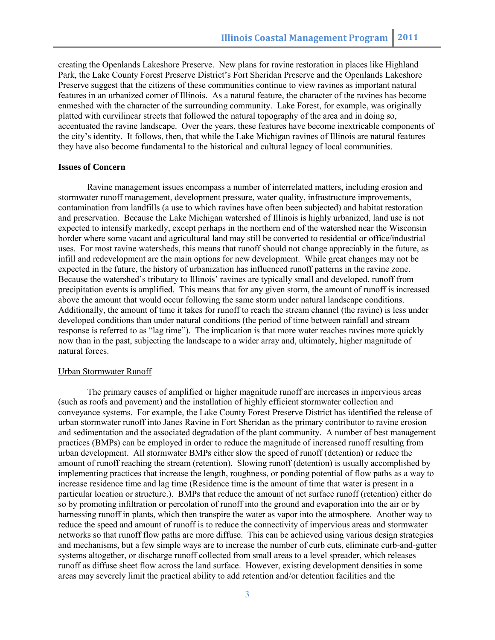creating the Openlands Lakeshore Preserve. New plans for ravine restoration in places like Highland Park, the Lake County Forest Preserve District's Fort Sheridan Preserve and the Openlands Lakeshore Preserve suggest that the citizens of these communities continue to view ravines as important natural features in an urbanized corner of Illinois. As a natural feature, the character of the ravines has become enmeshed with the character of the surrounding community. Lake Forest, for example, was originally platted with curvilinear streets that followed the natural topography of the area and in doing so, accentuated the ravine landscape. Over the years, these features have become inextricable components of the city's identity. It follows, then, that while the Lake Michigan ravines of Illinois are natural features they have also become fundamental to the historical and cultural legacy of local communities.

### **Issues of Concern**

Ravine management issues encompass a number of interrelated matters, including erosion and stormwater runoff management, development pressure, water quality, infrastructure improvements, contamination from landfills (a use to which ravines have often been subjected) and habitat restoration and preservation. Because the Lake Michigan watershed of Illinois is highly urbanized, land use is not expected to intensify markedly, except perhaps in the northern end of the watershed near the Wisconsin border where some vacant and agricultural land may still be converted to residential or office/industrial uses. For most ravine watersheds, this means that runoff should not change appreciably in the future, as infill and redevelopment are the main options for new development. While great changes may not be expected in the future, the history of urbanization has influenced runoff patterns in the ravine zone. Because the watershed's tributary to Illinois' ravines are typically small and developed, runoff from precipitation events is amplified. This means that for any given storm, the amount of runoff is increased above the amount that would occur following the same storm under natural landscape conditions. Additionally, the amount of time it takes for runoff to reach the stream channel (the ravine) is less under developed conditions than under natural conditions (the period of time between rainfall and stream response is referred to as "lag time"). The implication is that more water reaches ravines more quickly now than in the past, subjecting the landscape to a wider array and, ultimately, higher magnitude of natural forces.

#### Urban Stormwater Runoff

The primary causes of amplified or higher magnitude runoff are increases in impervious areas (such as roofs and pavement) and the installation of highly efficient stormwater collection and conveyance systems. For example, the Lake County Forest Preserve District has identified the release of urban stormwater runoff into Janes Ravine in Fort Sheridan as the primary contributor to ravine erosion and sedimentation and the associated degradation of the plant community. A number of best management practices (BMPs) can be employed in order to reduce the magnitude of increased runoff resulting from urban development. All stormwater BMPs either slow the speed of runoff (detention) or reduce the amount of runoff reaching the stream (retention). Slowing runoff (detention) is usually accomplished by implementing practices that increase the length, roughness, or ponding potential of flow paths as a way to increase residence time and lag time (Residence time is the amount of time that water is present in a particular location or structure.). BMPs that reduce the amount of net surface runoff (retention) either do so by promoting infiltration or percolation of runoff into the ground and evaporation into the air or by harnessing runoff in plants, which then transpire the water as vapor into the atmosphere. Another way to reduce the speed and amount of runoff is to reduce the connectivity of impervious areas and stormwater networks so that runoff flow paths are more diffuse. This can be achieved using various design strategies and mechanisms, but a few simple ways are to increase the number of curb cuts, eliminate curb-and-gutter systems altogether, or discharge runoff collected from small areas to a level spreader, which releases runoff as diffuse sheet flow across the land surface. However, existing development densities in some areas may severely limit the practical ability to add retention and/or detention facilities and the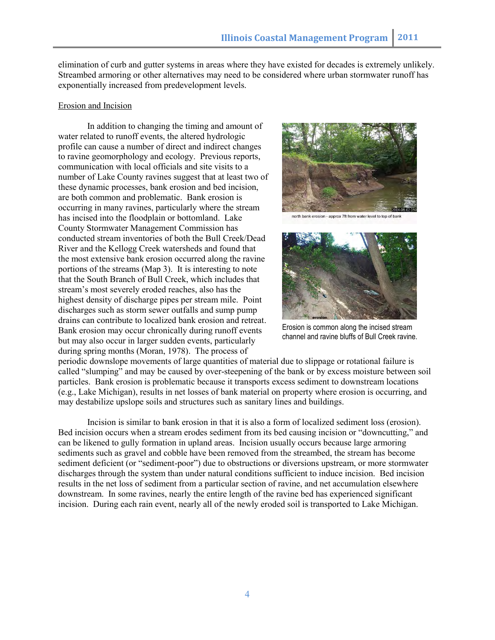elimination of curb and gutter systems in areas where they have existed for decades is extremely unlikely. Streambed armoring or other alternatives may need to be considered where urban stormwater runoff has exponentially increased from predevelopment levels.

### Erosion and Incision

In addition to changing the timing and amount of water related to runoff events, the altered hydrologic profile can cause a number of direct and indirect changes to ravine geomorphology and ecology. Previous reports, communication with local officials and site visits to a number of Lake County ravines suggest that at least two of these dynamic processes, bank erosion and bed incision, are both common and problematic. Bank erosion is occurring in many ravines, particularly where the stream has incised into the floodplain or bottomland. Lake County Stormwater Management Commission has conducted stream inventories of both the Bull Creek/Dead River and the Kellogg Creek watersheds and found that the most extensive bank erosion occurred along the ravine portions of the streams (Map 3). It is interesting to note that the South Branch of Bull Creek, which includes that stream's most severely eroded reaches, also has the highest density of discharge pipes per stream mile. Point discharges such as storm sewer outfalls and sump pump drains can contribute to localized bank erosion and retreat. Bank erosion may occur chronically during runoff events but may also occur in larger sudden events, particularly during spring months (Moran, 1978). The process of



north bank erosion - approx 7ft from water level to top of ban



Erosion is common along the incised stream channel and ravine bluffs of Bull Creek ravine.

periodic downslope movements of large quantities of material due to slippage or rotational failure is called "slumping" and may be caused by over-steepening of the bank or by excess moisture between soil particles. Bank erosion is problematic because it transports excess sediment to downstream locations (e.g., Lake Michigan), results in net losses of bank material on property where erosion is occurring, and may destabilize upslope soils and structures such as sanitary lines and buildings.

Incision is similar to bank erosion in that it is also a form of localized sediment loss (erosion). Bed incision occurs when a stream erodes sediment from its bed causing incision or "downcutting," and can be likened to gully formation in upland areas. Incision usually occurs because large armoring sediments such as gravel and cobble have been removed from the streambed, the stream has become sediment deficient (or "sediment-poor") due to obstructions or diversions upstream, or more stormwater discharges through the system than under natural conditions sufficient to induce incision. Bed incision results in the net loss of sediment from a particular section of ravine, and net accumulation elsewhere downstream. In some ravines, nearly the entire length of the ravine bed has experienced significant incision. During each rain event, nearly all of the newly eroded soil is transported to Lake Michigan.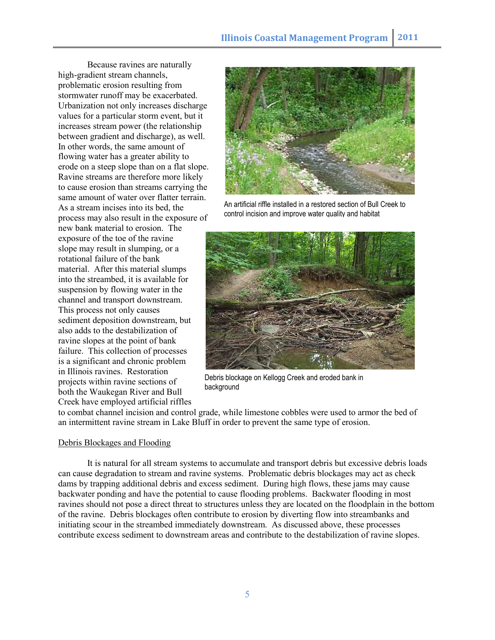Because ravines are naturally high-gradient stream channels, problematic erosion resulting from stormwater runoff may be exacerbated. Urbanization not only increases discharge values for a particular storm event, but it increases stream power (the relationship between gradient and discharge), as well. In other words, the same amount of flowing water has a greater ability to erode on a steep slope than on a flat slope. Ravine streams are therefore more likely to cause erosion than streams carrying the same amount of water over flatter terrain. As a stream incises into its bed, the process may also result in the exposure of new bank material to erosion. The exposure of the toe of the ravine slope may result in slumping, or a rotational failure of the bank material. After this material slumps into the streambed, it is available for suspension by flowing water in the channel and transport downstream. This process not only causes sediment deposition downstream, but also adds to the destabilization of ravine slopes at the point of bank failure. This collection of processes is a significant and chronic problem in Illinois ravines. Restoration projects within ravine sections of both the Waukegan River and Bull Creek have employed artificial riffles



An artificial riffle installed in a restored section of Bull Creek to control incision and improve water quality and habitat



Debris blockage on Kellogg Creek and eroded bank in background

to combat channel incision and control grade, while limestone cobbles were used to armor the bed of an intermittent ravine stream in Lake Bluff in order to prevent the same type of erosion.

# Debris Blockages and Flooding

It is natural for all stream systems to accumulate and transport debris but excessive debris loads can cause degradation to stream and ravine systems. Problematic debris blockages may act as check dams by trapping additional debris and excess sediment. During high flows, these jams may cause backwater ponding and have the potential to cause flooding problems. Backwater flooding in most ravines should not pose a direct threat to structures unless they are located on the floodplain in the bottom of the ravine. Debris blockages often contribute to erosion by diverting flow into streambanks and initiating scour in the streambed immediately downstream. As discussed above, these processes contribute excess sediment to downstream areas and contribute to the destabilization of ravine slopes.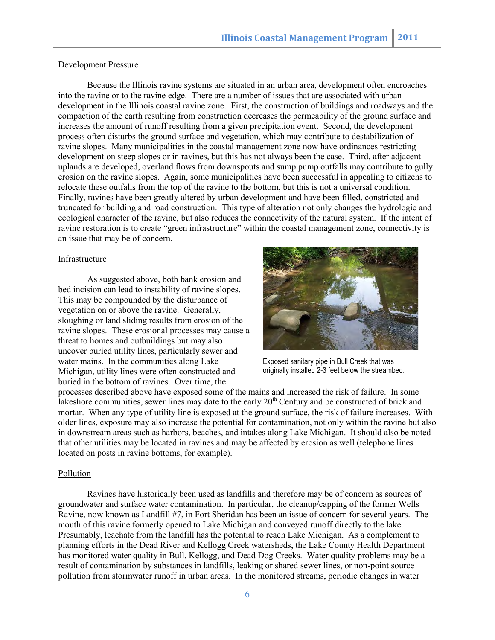### Development Pressure

Because the Illinois ravine systems are situated in an urban area, development often encroaches into the ravine or to the ravine edge. There are a number of issues that are associated with urban development in the Illinois coastal ravine zone. First, the construction of buildings and roadways and the compaction of the earth resulting from construction decreases the permeability of the ground surface and increases the amount of runoff resulting from a given precipitation event. Second, the development process often disturbs the ground surface and vegetation, which may contribute to destabilization of ravine slopes. Many municipalities in the coastal management zone now have ordinances restricting development on steep slopes or in ravines, but this has not always been the case. Third, after adjacent uplands are developed, overland flows from downspouts and sump pump outfalls may contribute to gully erosion on the ravine slopes. Again, some municipalities have been successful in appealing to citizens to relocate these outfalls from the top of the ravine to the bottom, but this is not a universal condition. Finally, ravines have been greatly altered by urban development and have been filled, constricted and truncated for building and road construction. This type of alteration not only changes the hydrologic and ecological character of the ravine, but also reduces the connectivity of the natural system. If the intent of ravine restoration is to create "green infrastructure" within the coastal management zone, connectivity is an issue that may be of concern.

### Infrastructure

As suggested above, both bank erosion and bed incision can lead to instability of ravine slopes. This may be compounded by the disturbance of vegetation on or above the ravine. Generally, sloughing or land sliding results from erosion of the ravine slopes. These erosional processes may cause a threat to homes and outbuildings but may also uncover buried utility lines, particularly sewer and water mains. In the communities along Lake Michigan, utility lines were often constructed and buried in the bottom of ravines. Over time, the



Exposed sanitary pipe in Bull Creek that was originally installed 2-3 feet below the streambed.

processes described above have exposed some of the mains and increased the risk of failure. In some lakeshore communities, sewer lines may date to the early  $20<sup>th</sup>$  Century and be constructed of brick and mortar. When any type of utility line is exposed at the ground surface, the risk of failure increases. With older lines, exposure may also increase the potential for contamination, not only within the ravine but also in downstream areas such as harbors, beaches, and intakes along Lake Michigan. It should also be noted that other utilities may be located in ravines and may be affected by erosion as well (telephone lines located on posts in ravine bottoms, for example).

#### Pollution

Ravines have historically been used as landfills and therefore may be of concern as sources of groundwater and surface water contamination. In particular, the cleanup/capping of the former Wells Ravine, now known as Landfill #7, in Fort Sheridan has been an issue of concern for several years. The mouth of this ravine formerly opened to Lake Michigan and conveyed runoff directly to the lake. Presumably, leachate from the landfill has the potential to reach Lake Michigan. As a complement to planning efforts in the Dead River and Kellogg Creek watersheds, the Lake County Health Department has monitored water quality in Bull, Kellogg, and Dead Dog Creeks. Water quality problems may be a result of contamination by substances in landfills, leaking or shared sewer lines, or non-point source pollution from stormwater runoff in urban areas. In the monitored streams, periodic changes in water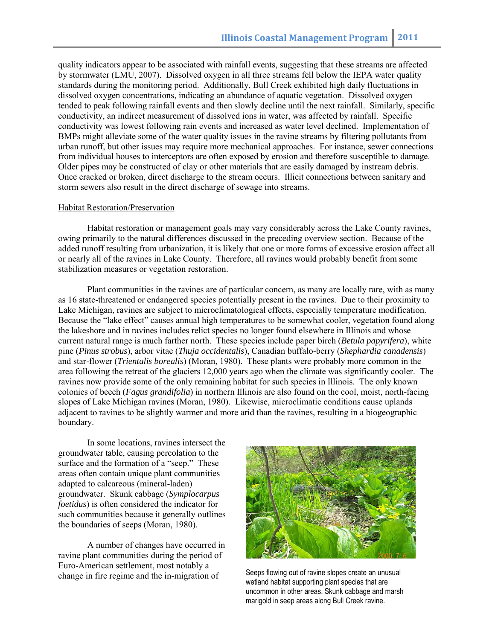quality indicators appear to be associated with rainfall events, suggesting that these streams are affected by stormwater (LMU, 2007). Dissolved oxygen in all three streams fell below the IEPA water quality standards during the monitoring period. Additionally, Bull Creek exhibited high daily fluctuations in dissolved oxygen concentrations, indicating an abundance of aquatic vegetation. Dissolved oxygen tended to peak following rainfall events and then slowly decline until the next rainfall. Similarly, specific conductivity, an indirect measurement of dissolved ions in water, was affected by rainfall. Specific conductivity was lowest following rain events and increased as water level declined. Implementation of BMPs might alleviate some of the water quality issues in the ravine streams by filtering pollutants from urban runoff, but other issues may require more mechanical approaches. For instance, sewer connections from individual houses to interceptors are often exposed by erosion and therefore susceptible to damage. Older pipes may be constructed of clay or other materials that are easily damaged by instream debris. Once cracked or broken, direct discharge to the stream occurs. Illicit connections between sanitary and storm sewers also result in the direct discharge of sewage into streams.

#### Habitat Restoration/Preservation

Habitat restoration or management goals may vary considerably across the Lake County ravines, owing primarily to the natural differences discussed in the preceding overview section. Because of the added runoff resulting from urbanization, it is likely that one or more forms of excessive erosion affect all or nearly all of the ravines in Lake County. Therefore, all ravines would probably benefit from some stabilization measures or vegetation restoration.

Plant communities in the ravines are of particular concern, as many are locally rare, with as many as 16 state-threatened or endangered species potentially present in the ravines. Due to their proximity to Lake Michigan, ravines are subject to microclimatological effects, especially temperature modification. Because the "lake effect" causes annual high temperatures to be somewhat cooler, vegetation found along the lakeshore and in ravines includes relict species no longer found elsewhere in Illinois and whose current natural range is much farther north. These species include paper birch (*Betula papyrifera*), white pine (*Pinus strobus*), arbor vitae (*Thuja occidentalis*), Canadian buffalo-berry (*Shephardia canadensis*) and star-flower (*Trientalis borealis*) (Moran, 1980). These plants were probably more common in the area following the retreat of the glaciers 12,000 years ago when the climate was significantly cooler. The ravines now provide some of the only remaining habitat for such species in Illinois. The only known colonies of beech (*Fagus grandifolia*) in northern Illinois are also found on the cool, moist, north-facing slopes of Lake Michigan ravines (Moran, 1980). Likewise, microclimatic conditions cause uplands adjacent to ravines to be slightly warmer and more arid than the ravines, resulting in a biogeographic boundary.

In some locations, ravines intersect the groundwater table, causing percolation to the surface and the formation of a "seep." These areas often contain unique plant communities adapted to calcareous (mineral-laden) groundwater. Skunk cabbage (*Symplocarpus foetidus*) is often considered the indicator for such communities because it generally outlines the boundaries of seeps (Moran, 1980).

A number of changes have occurred in ravine plant communities during the period of Euro-American settlement, most notably a change in fire regime and the in-migration of



uncommon in other areas. Skunk cabbage and marsh Seeps flowing out of ravine slopes create an unusual wetland habitat supporting plant species that are marigold in seep areas along Bull Creek ravine.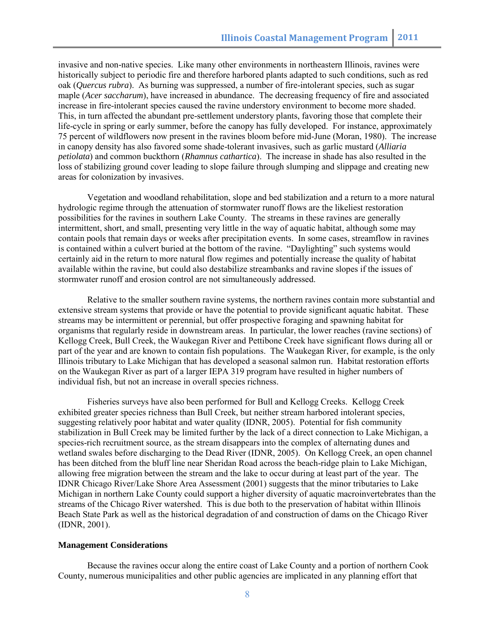invasive and non-native species. Like many other environments in northeastern Illinois, ravines were historically subject to periodic fire and therefore harbored plants adapted to such conditions, such as red oak (*Quercus rubra*). As burning was suppressed, a number of fire-intolerant species, such as sugar maple (*Acer saccharum*), have increased in abundance. The decreasing frequency of fire and associated increase in fire-intolerant species caused the ravine understory environment to become more shaded. This, in turn affected the abundant pre-settlement understory plants, favoring those that complete their life-cycle in spring or early summer, before the canopy has fully developed. For instance, approximately 75 percent of wildflowers now present in the ravines bloom before mid-June (Moran, 1980). The increase in canopy density has also favored some shade-tolerant invasives, such as garlic mustard (*Alliaria petiolata*) and common buckthorn (*Rhamnus cathartica*). The increase in shade has also resulted in the loss of stabilizing ground cover leading to slope failure through slumping and slippage and creating new areas for colonization by invasives.

Vegetation and woodland rehabilitation, slope and bed stabilization and a return to a more natural hydrologic regime through the attenuation of stormwater runoff flows are the likeliest restoration possibilities for the ravines in southern Lake County. The streams in these ravines are generally intermittent, short, and small, presenting very little in the way of aquatic habitat, although some may contain pools that remain days or weeks after precipitation events. In some cases, streamflow in ravines is contained within a culvert buried at the bottom of the ravine. "Daylighting" such systems would certainly aid in the return to more natural flow regimes and potentially increase the quality of habitat available within the ravine, but could also destabilize streambanks and ravine slopes if the issues of stormwater runoff and erosion control are not simultaneously addressed.

Relative to the smaller southern ravine systems, the northern ravines contain more substantial and extensive stream systems that provide or have the potential to provide significant aquatic habitat. These streams may be intermittent or perennial, but offer prospective foraging and spawning habitat for organisms that regularly reside in downstream areas. In particular, the lower reaches (ravine sections) of Kellogg Creek, Bull Creek, the Waukegan River and Pettibone Creek have significant flows during all or part of the year and are known to contain fish populations. The Waukegan River, for example, is the only Illinois tributary to Lake Michigan that has developed a seasonal salmon run. Habitat restoration efforts on the Waukegan River as part of a larger IEPA 319 program have resulted in higher numbers of individual fish, but not an increase in overall species richness.

Fisheries surveys have also been performed for Bull and Kellogg Creeks. Kellogg Creek exhibited greater species richness than Bull Creek, but neither stream harbored intolerant species, suggesting relatively poor habitat and water quality (IDNR, 2005). Potential for fish community stabilization in Bull Creek may be limited further by the lack of a direct connection to Lake Michigan, a species-rich recruitment source, as the stream disappears into the complex of alternating dunes and wetland swales before discharging to the Dead River (IDNR, 2005). On Kellogg Creek, an open channel has been ditched from the bluff line near Sheridan Road across the beach-ridge plain to Lake Michigan, allowing free migration between the stream and the lake to occur during at least part of the year. The IDNR Chicago River/Lake Shore Area Assessment (2001) suggests that the minor tributaries to Lake Michigan in northern Lake County could support a higher diversity of aquatic macroinvertebrates than the streams of the Chicago River watershed. This is due both to the preservation of habitat within Illinois Beach State Park as well as the historical degradation of and construction of dams on the Chicago River (IDNR, 2001).

## **Management Considerations**

 Because the ravines occur along the entire coast of Lake County and a portion of northern Cook County, numerous municipalities and other public agencies are implicated in any planning effort that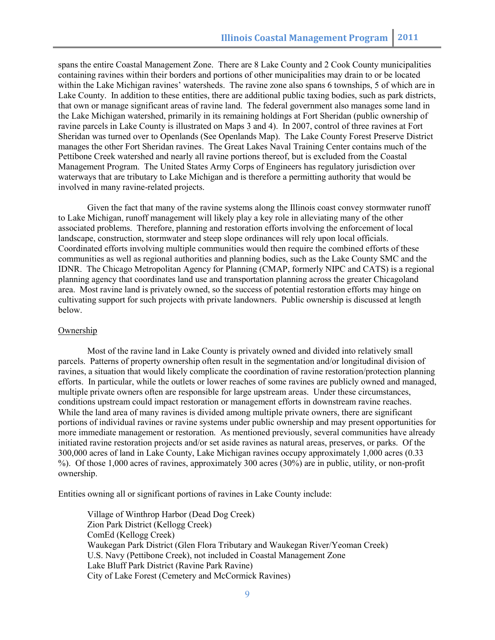spans the entire Coastal Management Zone. There are 8 Lake County and 2 Cook County municipalities containing ravines within their borders and portions of other municipalities may drain to or be located within the Lake Michigan ravines' watersheds. The ravine zone also spans 6 townships, 5 of which are in Lake County. In addition to these entities, there are additional public taxing bodies, such as park districts, that own or manage significant areas of ravine land. The federal government also manages some land in the Lake Michigan watershed, primarily in its remaining holdings at Fort Sheridan (public ownership of ravine parcels in Lake County is illustrated on Maps 3 and 4). In 2007, control of three ravines at Fort Sheridan was turned over to Openlands (See Openlands Map). The Lake County Forest Preserve District manages the other Fort Sheridan ravines. The Great Lakes Naval Training Center contains much of the Pettibone Creek watershed and nearly all ravine portions thereof, but is excluded from the Coastal Management Program. The United States Army Corps of Engineers has regulatory jurisdiction over waterways that are tributary to Lake Michigan and is therefore a permitting authority that would be involved in many ravine-related projects.

Given the fact that many of the ravine systems along the Illinois coast convey stormwater runoff to Lake Michigan, runoff management will likely play a key role in alleviating many of the other associated problems. Therefore, planning and restoration efforts involving the enforcement of local landscape, construction, stormwater and steep slope ordinances will rely upon local officials. Coordinated efforts involving multiple communities would then require the combined efforts of these communities as well as regional authorities and planning bodies, such as the Lake County SMC and the IDNR. The Chicago Metropolitan Agency for Planning (CMAP, formerly NIPC and CATS) is a regional planning agency that coordinates land use and transportation planning across the greater Chicagoland area. Most ravine land is privately owned, so the success of potential restoration efforts may hinge on cultivating support for such projects with private landowners. Public ownership is discussed at length below.

#### Ownership

Most of the ravine land in Lake County is privately owned and divided into relatively small parcels. Patterns of property ownership often result in the segmentation and/or longitudinal division of ravines, a situation that would likely complicate the coordination of ravine restoration/protection planning efforts. In particular, while the outlets or lower reaches of some ravines are publicly owned and managed, multiple private owners often are responsible for large upstream areas. Under these circumstances, conditions upstream could impact restoration or management efforts in downstream ravine reaches. While the land area of many ravines is divided among multiple private owners, there are significant portions of individual ravines or ravine systems under public ownership and may present opportunities for more immediate management or restoration. As mentioned previously, several communities have already initiated ravine restoration projects and/or set aside ravines as natural areas, preserves, or parks. Of the 300,000 acres of land in Lake County, Lake Michigan ravines occupy approximately 1,000 acres (0.33 %). Of those 1,000 acres of ravines, approximately 300 acres (30%) are in public, utility, or non-profit ownership.

Entities owning all or significant portions of ravines in Lake County include:

Village of Winthrop Harbor (Dead Dog Creek) Zion Park District (Kellogg Creek) ComEd (Kellogg Creek) Waukegan Park District (Glen Flora Tributary and Waukegan River/Yeoman Creek) U.S. Navy (Pettibone Creek), not included in Coastal Management Zone Lake Bluff Park District (Ravine Park Ravine) City of Lake Forest (Cemetery and McCormick Ravines)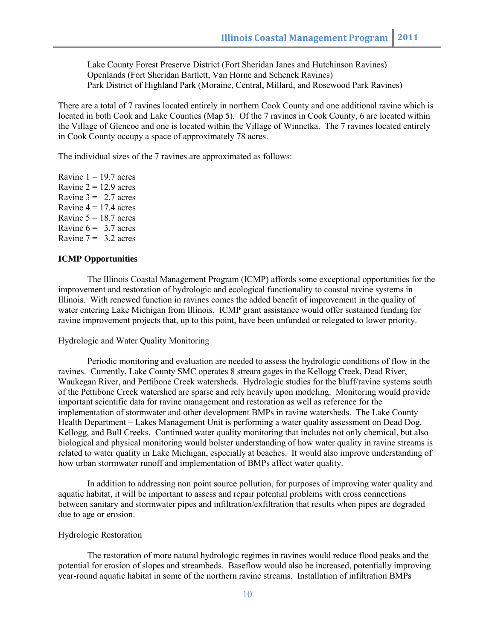Lake County Forest Preserve District (Fort Sheridan Janes and Hutchinson Ravines) Openlands (Fort Sheridan Bartlett, Van Horne and Schenck Ravines) Park District of Highland Park (Moraine, Central, Millard, and Rosewood Park Ravines)

There are a total of 7 ravines located entirely in northern Cook County and one additional ravine which is located in both Cook and Lake Counties (Map 5). Of the 7 ravines in Cook County, 6 are located within the Village of Glencoe and one is located within the Village of Winnetka. The 7 ravines located entirely in Cook County occupy a space of approximately 78 acres.

The individual sizes of the 7 ravines are approximated as follows:

Ravine  $1 = 19.7$  acres Ravine  $2 = 12.9$  acres Ravine  $3 = 2.7$  acres Ravine  $4 = 17.4$  acres Ravine  $5 = 18.7$  acres Ravine  $6 = 3.7$  acres Ravine  $7 = 3.2$  acres

# **ICMP Opportunities**

The Illinois Coastal Management Program (ICMP) affords some exceptional opportunities for the improvement and restoration of hydrologic and ecological functionality to coastal ravine systems in Illinois. With renewed function in ravines comes the added benefit of improvement in the quality of water entering Lake Michigan from Illinois. ICMP grant assistance would offer sustained funding for ravine improvement projects that, up to this point, have been unfunded or relegated to lower priority.

### Hydrologic and Water Quality Monitoring

Periodic monitoring and evaluation are needed to assess the hydrologic conditions of flow in the ravines. Currently, Lake County SMC operates 8 stream gages in the Kellogg Creek, Dead River, Waukegan River, and Pettibone Creek watersheds. Hydrologic studies for the bluff/ravine systems south of the Pettibone Creek watershed are sparse and rely heavily upon modeling. Monitoring would provide important scientific data for ravine management and restoration as well as reference for the implementation of stormwater and other development BMPs in ravine watersheds. The Lake County Health Department – Lakes Management Unit is performing a water quality assessment on Dead Dog, Kellogg, and Bull Creeks. Continued water quality monitoring that includes not only chemical, but also biological and physical monitoring would bolster understanding of how water quality in ravine streams is related to water quality in Lake Michigan, especially at beaches. It would also improve understanding of how urban stormwater runoff and implementation of BMPs affect water quality.

In addition to addressing non point source pollution, for purposes of improving water quality and aquatic habitat, it will be important to assess and repair potential problems with cross connections between sanitary and stormwater pipes and infiltration/exfiltration that results when pipes are degraded due to age or erosion.

### Hydrologic Restoration

The restoration of more natural hydrologic regimes in ravines would reduce flood peaks and the potential for erosion of slopes and streambeds. Baseflow would also be increased, potentially improving year-round aquatic habitat in some of the northern ravine streams. Installation of infiltration BMPs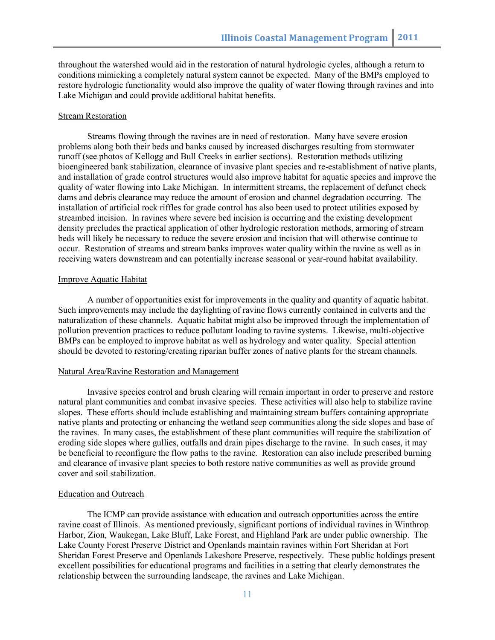throughout the watershed would aid in the restoration of natural hydrologic cycles, although a return to conditions mimicking a completely natural system cannot be expected. Many of the BMPs employed to restore hydrologic functionality would also improve the quality of water flowing through ravines and into Lake Michigan and could provide additional habitat benefits.

# Stream Restoration

Streams flowing through the ravines are in need of restoration. Many have severe erosion problems along both their beds and banks caused by increased discharges resulting from stormwater runoff (see photos of Kellogg and Bull Creeks in earlier sections). Restoration methods utilizing bioengineered bank stabilization, clearance of invasive plant species and re-establishment of native plants, and installation of grade control structures would also improve habitat for aquatic species and improve the quality of water flowing into Lake Michigan. In intermittent streams, the replacement of defunct check dams and debris clearance may reduce the amount of erosion and channel degradation occurring. The installation of artificial rock riffles for grade control has also been used to protect utilities exposed by streambed incision. In ravines where severe bed incision is occurring and the existing development density precludes the practical application of other hydrologic restoration methods, armoring of stream beds will likely be necessary to reduce the severe erosion and incision that will otherwise continue to occur. Restoration of streams and stream banks improves water quality within the ravine as well as in receiving waters downstream and can potentially increase seasonal or year-round habitat availability.

# Improve Aquatic Habitat

A number of opportunities exist for improvements in the quality and quantity of aquatic habitat. Such improvements may include the daylighting of ravine flows currently contained in culverts and the naturalization of these channels. Aquatic habitat might also be improved through the implementation of pollution prevention practices to reduce pollutant loading to ravine systems. Likewise, multi-objective BMPs can be employed to improve habitat as well as hydrology and water quality. Special attention should be devoted to restoring/creating riparian buffer zones of native plants for the stream channels.

#### Natural Area/Ravine Restoration and Management

Invasive species control and brush clearing will remain important in order to preserve and restore natural plant communities and combat invasive species. These activities will also help to stabilize ravine slopes. These efforts should include establishing and maintaining stream buffers containing appropriate native plants and protecting or enhancing the wetland seep communities along the side slopes and base of the ravines. In many cases, the establishment of these plant communities will require the stabilization of eroding side slopes where gullies, outfalls and drain pipes discharge to the ravine. In such cases, it may be beneficial to reconfigure the flow paths to the ravine. Restoration can also include prescribed burning and clearance of invasive plant species to both restore native communities as well as provide ground cover and soil stabilization.

#### Education and Outreach

The ICMP can provide assistance with education and outreach opportunities across the entire ravine coast of Illinois. As mentioned previously, significant portions of individual ravines in Winthrop Harbor, Zion, Waukegan, Lake Bluff, Lake Forest, and Highland Park are under public ownership. The Lake County Forest Preserve District and Openlands maintain ravines within Fort Sheridan at Fort Sheridan Forest Preserve and Openlands Lakeshore Preserve, respectively. These public holdings present excellent possibilities for educational programs and facilities in a setting that clearly demonstrates the relationship between the surrounding landscape, the ravines and Lake Michigan.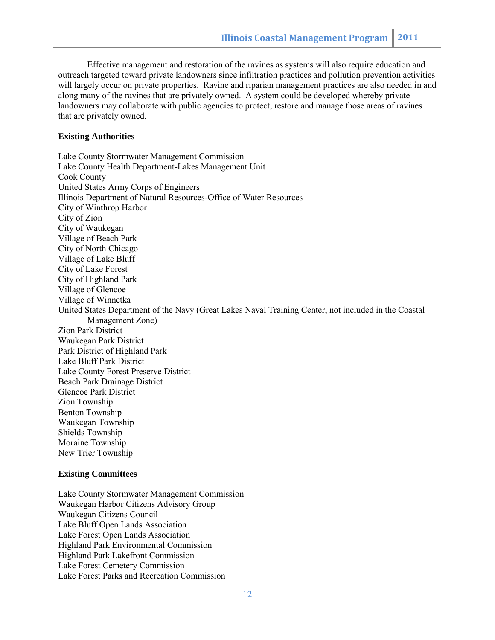Effective management and restoration of the ravines as systems will also require education and outreach targeted toward private landowners since infiltration practices and pollution prevention activities will largely occur on private properties. Ravine and riparian management practices are also needed in and along many of the ravines that are privately owned. A system could be developed whereby private landowners may collaborate with public agencies to protect, restore and manage those areas of ravines that are privately owned.

### **Existing Authorities**

Lake County Stormwater Management Commission Lake County Health Department-Lakes Management Unit Cook County United States Army Corps of Engineers Illinois Department of Natural Resources-Office of Water Resources City of Winthrop Harbor City of Zion City of Waukegan Village of Beach Park City of North Chicago Village of Lake Bluff City of Lake Forest City of Highland Park Village of Glencoe Village of Winnetka United States Department of the Navy (Great Lakes Naval Training Center, not included in the Coastal Management Zone) Zion Park District Waukegan Park District Park District of Highland Park Lake Bluff Park District Lake County Forest Preserve District Beach Park Drainage District Glencoe Park District Zion Township Benton Township Waukegan Township Shields Township Moraine Township New Trier Township

#### **Existing Committees**

Lake County Stormwater Management Commission Waukegan Harbor Citizens Advisory Group Waukegan Citizens Council Lake Bluff Open Lands Association Lake Forest Open Lands Association Highland Park Environmental Commission Highland Park Lakefront Commission Lake Forest Cemetery Commission Lake Forest Parks and Recreation Commission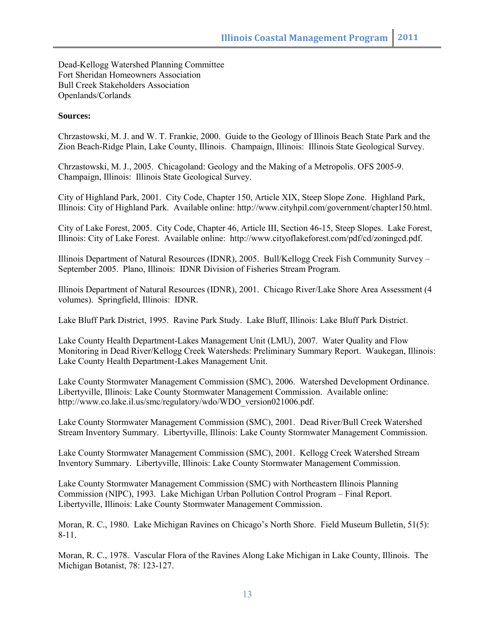Dead-Kellogg Watershed Planning Committee Fort Sheridan Homeowners Association Bull Creek Stakeholders Association Openlands/Corlands

# **Sources:**

Chrzastowski, M. J. and W. T. Frankie, 2000. Guide to the Geology of Illinois Beach State Park and the Zion Beach-Ridge Plain, Lake County, Illinois. Champaign, Illinois: Illinois State Geological Survey.

Chrzastowski, M. J., 2005. Chicagoland: Geology and the Making of a Metropolis. OFS 2005-9. Champaign, Illinois: Illinois State Geological Survey.

City of Highland Park, 2001. City Code, Chapter 150, Article XIX, Steep Slope Zone. Highland Park, Illinois: City of Highland Park. Available online: http://www.cityhpil.com/government/chapter150.html.

City of Lake Forest, 2005. City Code, Chapter 46, Article III, Section 46-15, Steep Slopes. Lake Forest, Illinois: City of Lake Forest. Available online: http://www.cityoflakeforest.com/pdf/cd/zoningcd.pdf.

Illinois Department of Natural Resources (IDNR), 2005. Bull/Kellogg Creek Fish Community Survey – September 2005. Plano, Illinois: IDNR Division of Fisheries Stream Program.

Illinois Department of Natural Resources (IDNR), 2001. Chicago River/Lake Shore Area Assessment (4 volumes). Springfield, Illinois: IDNR.

Lake Bluff Park District, 1995. Ravine Park Study. Lake Bluff, Illinois: Lake Bluff Park District.

Lake County Health Department-Lakes Management Unit (LMU), 2007. Water Quality and Flow Monitoring in Dead River/Kellogg Creek Watersheds: Preliminary Summary Report. Waukegan, Illinois: Lake County Health Department-Lakes Management Unit.

Lake County Stormwater Management Commission (SMC), 2006. Watershed Development Ordinance. Libertyville, Illinois: Lake County Stormwater Management Commission. Available online: http://www.co.lake.il.us/smc/regulatory/wdo/WDO\_version021006.pdf.

Lake County Stormwater Management Commission (SMC), 2001. Dead River/Bull Creek Watershed Stream Inventory Summary. Libertyville, Illinois: Lake County Stormwater Management Commission.

Lake County Stormwater Management Commission (SMC), 2001. Kellogg Creek Watershed Stream Inventory Summary. Libertyville, Illinois: Lake County Stormwater Management Commission.

Lake County Stormwater Management Commission (SMC) with Northeastern Illinois Planning Commission (NIPC), 1993. Lake Michigan Urban Pollution Control Program – Final Report. Libertyville, Illinois: Lake County Stormwater Management Commission.

Moran, R. C., 1980. Lake Michigan Ravines on Chicago's North Shore. Field Museum Bulletin, 51(5): 8-11.

Moran, R. C., 1978. Vascular Flora of the Ravines Along Lake Michigan in Lake County, Illinois. The Michigan Botanist, 78: 123-127.